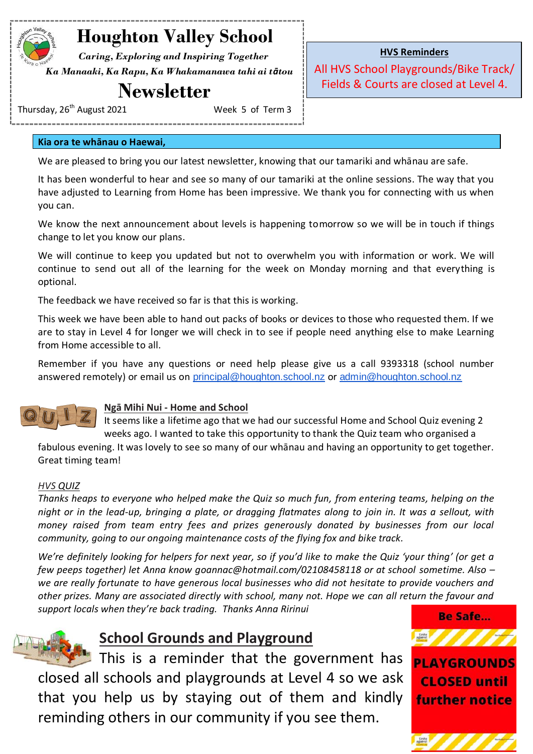# **Houghton Valley School**

 *Caring, Exploring and Inspiring Together Ka Manaaki, Ka Rapu, Ka Whakamanawa tahi ai tātou*

# **Newsletter**

Thursday, 26<sup>th</sup> August 2021 Week 5 of Term 3

**HVS Reminders**

All HVS School Playgrounds/Bike Track/ Fields & Courts are closed at Level 4.

**Kia ora te whānau o Haewai,**

We are pleased to bring you our latest newsletter, knowing that our tamariki and whānau are safe.

It has been wonderful to hear and see so many of our tamariki at the online sessions. The way that you have adjusted to Learning from Home has been impressive. We thank you for connecting with us when you can.

We know the next announcement about levels is happening tomorrow so we will be in touch if things change to let you know our plans.

We will continue to keep you updated but not to overwhelm you with information or work. We will continue to send out all of the learning for the week on Monday morning and that everything is optional.

The feedback we have received so far is that this is working.

This week we have been able to hand out packs of books or devices to those who requested them. If we are to stay in Level 4 for longer we will check in to see if people need anything else to make Learning from Home accessible to all.

Remember if you have any questions or need help please give us a call 9393318 (school number answered remotely) or email us on [principal@houghton.school.nz](mailto:principal@houghton.school.nz) or [admin@houghton.school.nz](mailto:admin@houghton.school.nz)



### **Ngā Mihi Nui - Home and School**

It seems like a lifetime ago that we had our successful Home and School Quiz evening 2 weeks ago. I wanted to take this opportunity to thank the Quiz team who organised a

fabulous evening. It was lovely to see so many of our whānau and having an opportunity to get together. Great timing team!

### *HVS QUIZ*

*Thanks heaps to everyone who helped make the Quiz so much fun, from entering teams, helping on the night or in the lead-up, bringing a plate, or dragging flatmates along to join in. It was a sellout, with money raised from team entry fees and prizes generously donated by businesses from our local community, going to our ongoing maintenance costs of the flying fox and bike track.*

*We're definitely looking for helpers for next year, so if you'd like to make the Quiz 'your thing' (or get a few peeps together) let Anna know goannac@hotmail.com/02108458118 or at school sometime. Also – we are really fortunate to have generous local businesses who did not hesitate to provide vouchers and other prizes. Many are associated directly with school, many not. Hope we can all return the favour and support locals when they're back trading. Thanks Anna Ririnui*



### **School Grounds and Playground**

This is a reminder that the government has closed all schools and playgrounds at Level 4 so we ask that you help us by staying out of them and kindly reminding others in our community if you see them.



**PLAYGROUNDS CLOSED until further notice** 

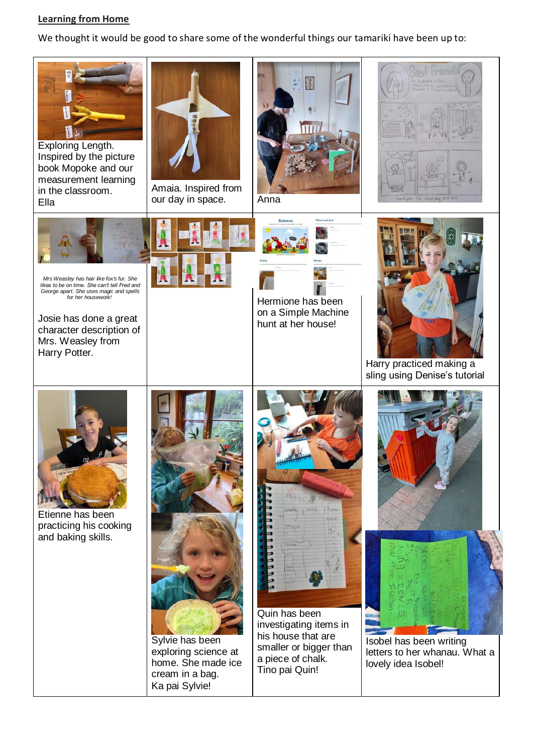#### **Learning from Home**

We thought it would be good to share some of the wonderful things our tamariki have been up to: